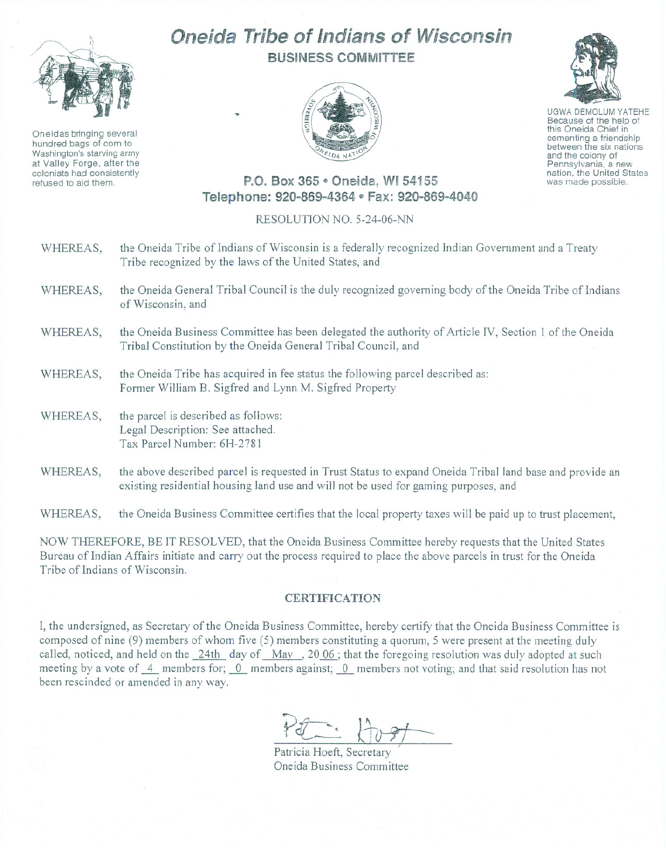

Oneidas bringing several hundred bags of corn to Washington's starving army at Valley Forge, after the colonists had consistently refused to aid them.

## Oneida Tribe of Indians of Wisconsin BUSINESS COMMITTEE





UGWA DEMOLUM YATEHE Because of the help of this Oneida Chief in<br>cementing a friendship between the six nations and the colony of<br>Pennsylvania, a new nation, the United States was made possible.

## P.O. Box 365 e Oneida, WI 54155 Telephone: 920~869~4364e Fax: 920-869~4040

## RESOLUTION NO. 5-24-06-NN

- WHEREAS, the Oneida Tribe of Indians of Wisconsin is a federally recognized Indian Government and a Treaty Tribe recognized by the laws of the United States, and
- WHEREAS, the Oneida General Tribal Council is the duly recognized governing body of the Oneida Tribe of Indians of Wisconsin, and
- WHEREAS, the Oneida Business Committee has been delegated the authority of Article IV, Section 1 of the Oneida Tribal Constitution by the Oneida General Tribal Council, and
- WHEREAS, the Oneida Tribe has acquired in fee status the following parcel described as: Former William B. Sigfred and Lynn M. Sigfred Property
- WHEREAS, the parcel is described as follows: Legal Description: See attached. Tax Parcel Number: 6H-2781
- WHEREAS, the above described parcel is requested in Trust Status to expand Oneida Tribal land base and provide an existing residential housing land use and will not be used for gaming purposes, and

WHEREAS, the Oneida Business Committee certifies that the local property taxes will be paid up to trust placement,

NOW THEREFORE, BE IT RESOLVED, that the Oneida Business Committee hereby requests that the United States Bureau of Indian Affairs initiate and carry out the process required to place the above parcels in trust for the Oneida Tribe of Indians of Wisconsin.

## CERTIFICATION

I, the undersigned, as Secretary of the Oneida Business Committee, hereby certify that the Oneida Business Committee is composed of nine (9) members of whom five (5) members constituting a quorum, 5 were present at the meeting duly called, noticed, and held on the 24th day of May, 20 06; that the foregoing resolution was duly adopted at such meeting by a vote of  $-4$  members for;  $-0$  members against;  $-0$  members not voting; and that said resolution has not been rescinded or amended in any way.

Pétricia Hoeft, Secretary

Oneida Business Committee